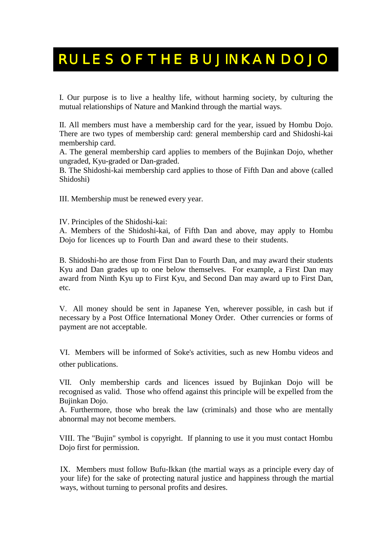## RULES OF THE BUJINKAN DOJO

I. Our purpose is to live a healthy life, without harming society, by culturing the mutual relationships of Nature and Mankind through the martial ways.

II. All members must have a membership card for the year, issued by Hombu Dojo. There are two types of membership card: general membership card and Shidoshi-kai membership card.

A. The general membership card applies to members of the Bujinkan Dojo, whether ungraded, Kyu-graded or Dan-graded.

B. The Shidoshi-kai membership card applies to those of Fifth Dan and above (called Shidoshi)

III. Membership must be renewed every year.

IV. Principles of the Shidoshi-kai:

A. Members of the Shidoshi-kai, of Fifth Dan and above, may apply to Hombu Dojo for licences up to Fourth Dan and award these to their students.

B. Shidoshi-ho are those from First Dan to Fourth Dan, and may award their students Kyu and Dan grades up to one below themselves. For example, a First Dan may award from Ninth Kyu up to First Kyu, and Second Dan may award up to First Dan, etc.

V. All money should be sent in Japanese Yen, wherever possible, in cash but if necessary by a Post Office International Money Order. Other currencies or forms of payment are not acceptable.

other publications. VI. Members will be informed of Soke's activities, such as new Hombu videos and

VII. Only membership cards and licences issued by Bujinkan Dojo will be recognised as valid. Those who offend against this principle will be expelled from the Bujinkan Dojo.

A. Furthermore, those who break the law (criminals) and those who are mentally abnormal may not become members.

VIII. The "Bujin" symbol is copyright. If planning to use it you must contact Hombu Dojo first for permission.

IX. Members must follow Bufu-Ikkan (the martial ways as a principle every day of your life) for the sake of protecting natural justice and happiness through the martial ways, without turning to personal profits and desires.